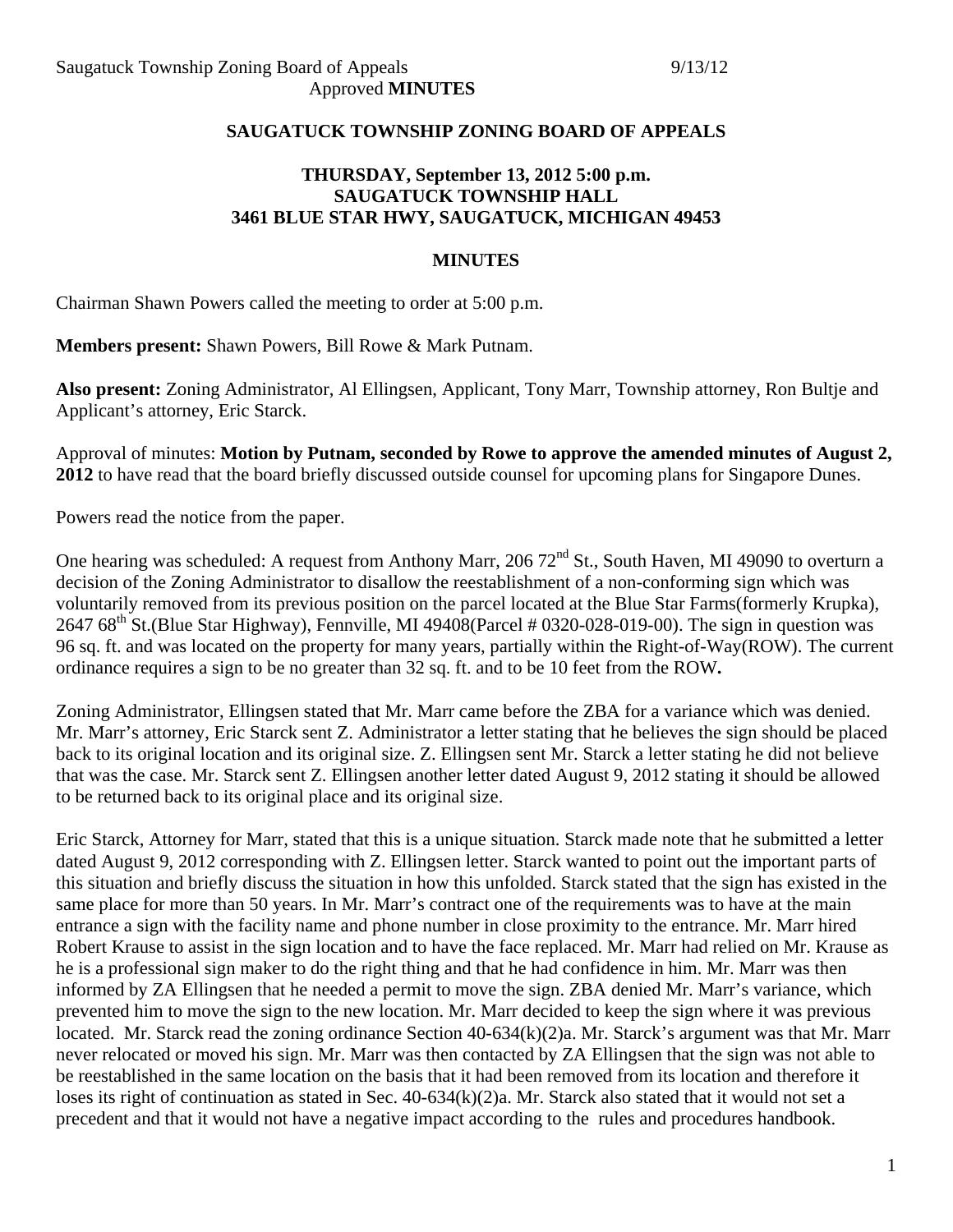### **SAUGATUCK TOWNSHIP ZONING BOARD OF APPEALS**

# **THURSDAY, September 13, 2012 5:00 p.m. SAUGATUCK TOWNSHIP HALL 3461 BLUE STAR HWY, SAUGATUCK, MICHIGAN 49453**

#### **MINUTES**

Chairman Shawn Powers called the meeting to order at 5:00 p.m.

**Members present:** Shawn Powers, Bill Rowe & Mark Putnam.

**Also present:** Zoning Administrator, Al Ellingsen, Applicant, Tony Marr, Township attorney, Ron Bultje and Applicant's attorney, Eric Starck.

Approval of minutes: **Motion by Putnam, seconded by Rowe to approve the amended minutes of August 2, 2012** to have read that the board briefly discussed outside counsel for upcoming plans for Singapore Dunes.

Powers read the notice from the paper.

One hearing was scheduled: A request from Anthony Marr,  $20672<sup>nd</sup>$  St., South Haven, MI 49090 to overturn a decision of the Zoning Administrator to disallow the reestablishment of a non-conforming sign which was voluntarily removed from its previous position on the parcel located at the Blue Star Farms(formerly Krupka), 2647 68<sup>th</sup> St.(Blue Star Highway), Fennville, MI 49408(Parcel # 0320-028-019-00). The sign in question was 96 sq. ft. and was located on the property for many years, partially within the Right-of-Way(ROW). The current ordinance requires a sign to be no greater than 32 sq. ft. and to be 10 feet from the ROW**.**

Zoning Administrator, Ellingsen stated that Mr. Marr came before the ZBA for a variance which was denied. Mr. Marr's attorney, Eric Starck sent Z. Administrator a letter stating that he believes the sign should be placed back to its original location and its original size. Z. Ellingsen sent Mr. Starck a letter stating he did not believe that was the case. Mr. Starck sent Z. Ellingsen another letter dated August 9, 2012 stating it should be allowed to be returned back to its original place and its original size.

Eric Starck, Attorney for Marr, stated that this is a unique situation. Starck made note that he submitted a letter dated August 9, 2012 corresponding with Z. Ellingsen letter. Starck wanted to point out the important parts of this situation and briefly discuss the situation in how this unfolded. Starck stated that the sign has existed in the same place for more than 50 years. In Mr. Marr's contract one of the requirements was to have at the main entrance a sign with the facility name and phone number in close proximity to the entrance. Mr. Marr hired Robert Krause to assist in the sign location and to have the face replaced. Mr. Marr had relied on Mr. Krause as he is a professional sign maker to do the right thing and that he had confidence in him. Mr. Marr was then informed by ZA Ellingsen that he needed a permit to move the sign. ZBA denied Mr. Marr's variance, which prevented him to move the sign to the new location. Mr. Marr decided to keep the sign where it was previous located. Mr. Starck read the zoning ordinance Section 40-634(k)(2)a. Mr. Starck's argument was that Mr. Marr never relocated or moved his sign. Mr. Marr was then contacted by ZA Ellingsen that the sign was not able to be reestablished in the same location on the basis that it had been removed from its location and therefore it loses its right of continuation as stated in Sec. 40-634(k)(2)a. Mr. Starck also stated that it would not set a precedent and that it would not have a negative impact according to the rules and procedures handbook.